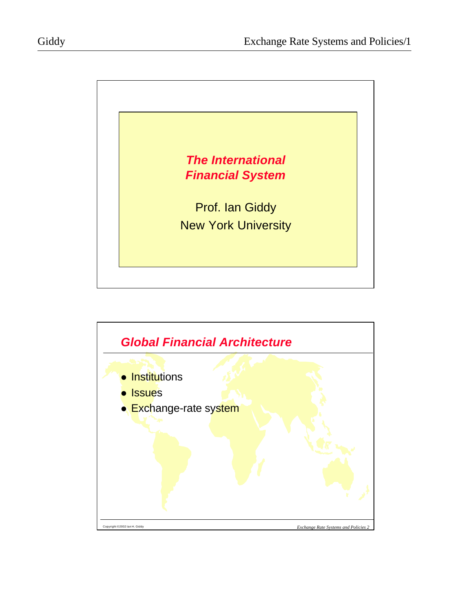

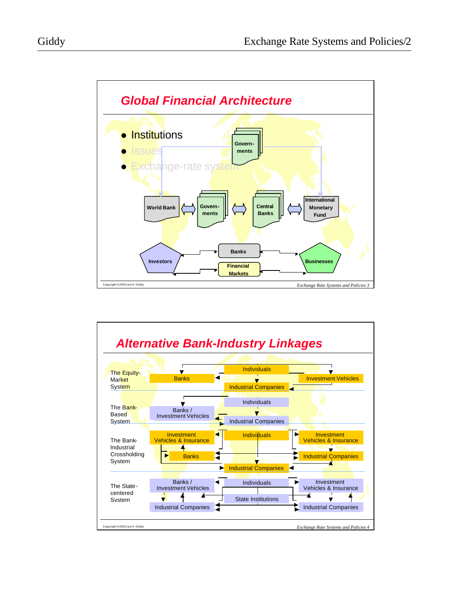

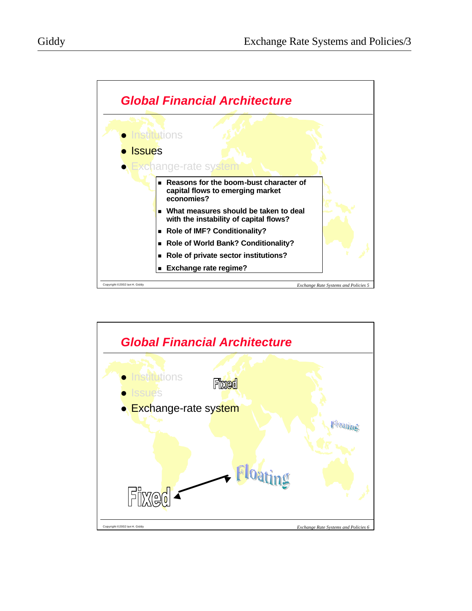

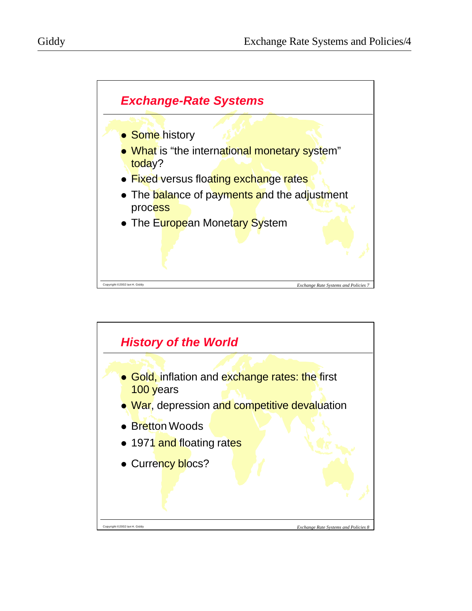

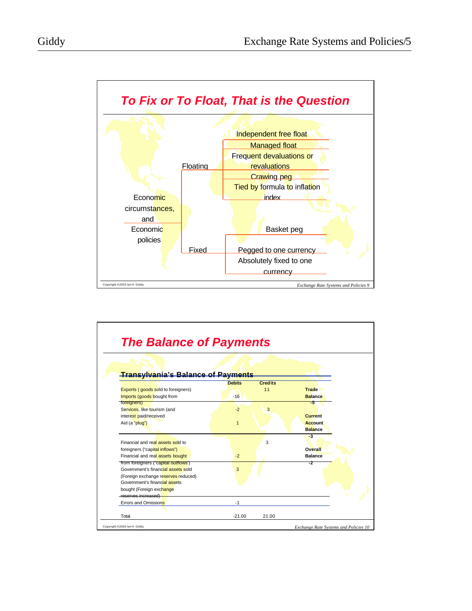



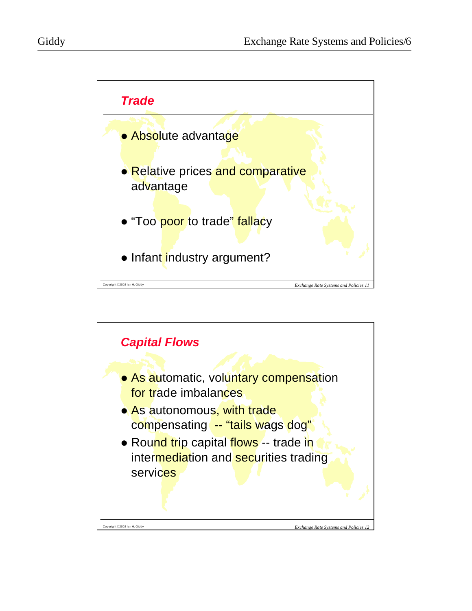

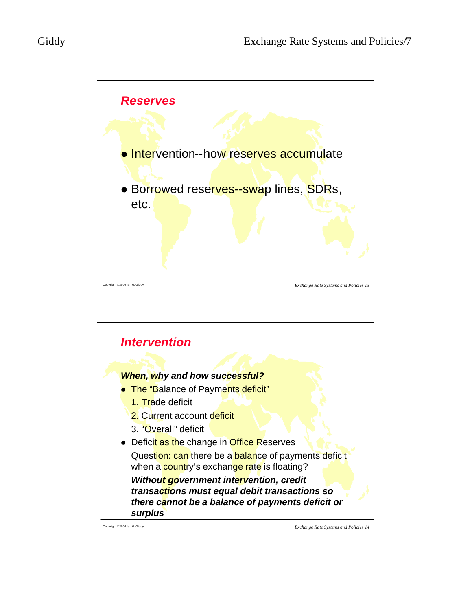

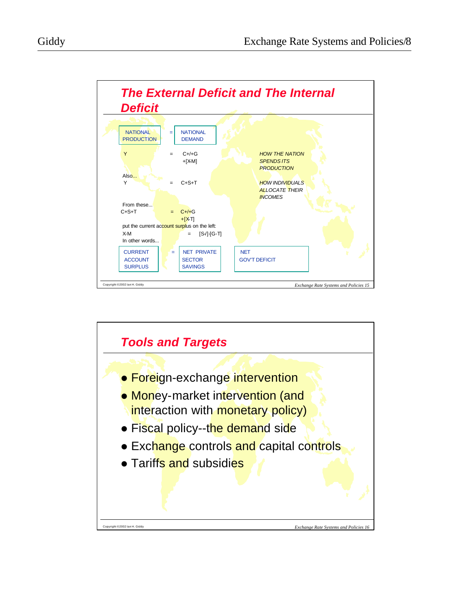



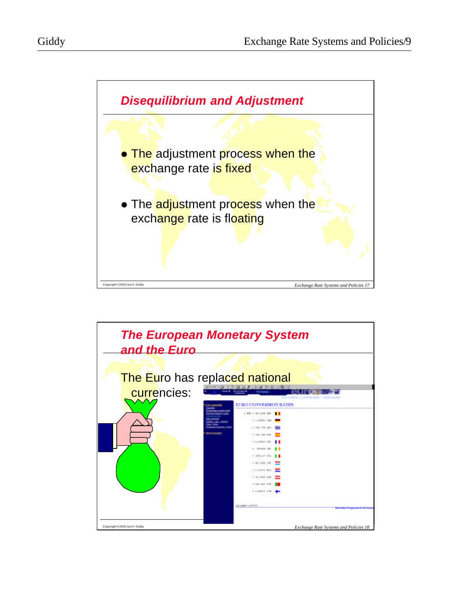



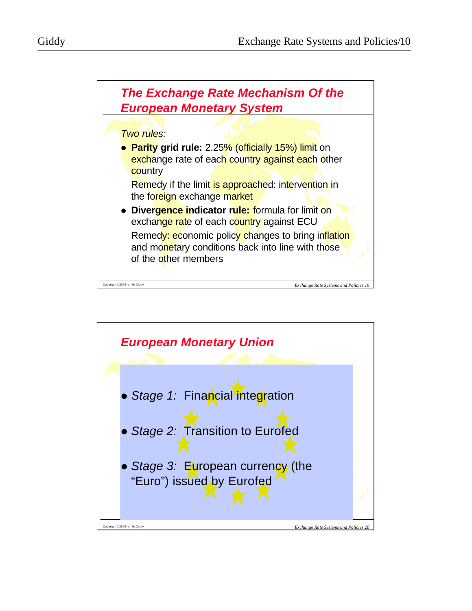

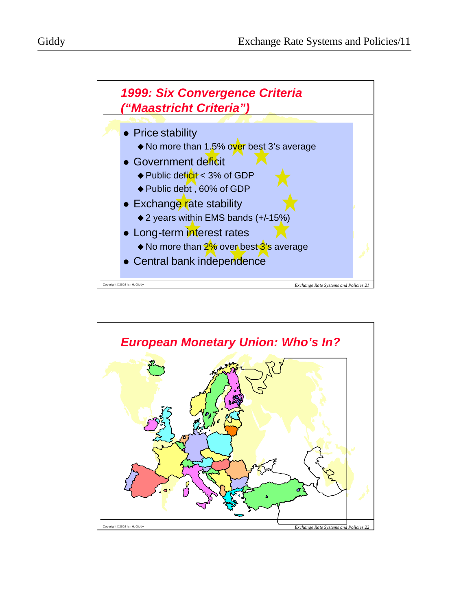

Copyright ©2002 Ian H. Giddy *Exchange Rate Systems and Policies 21*

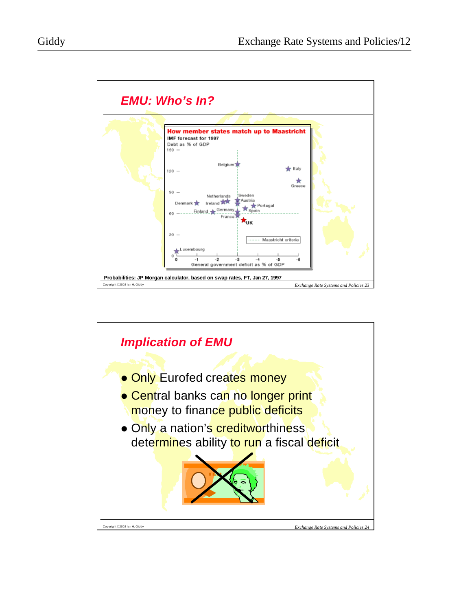

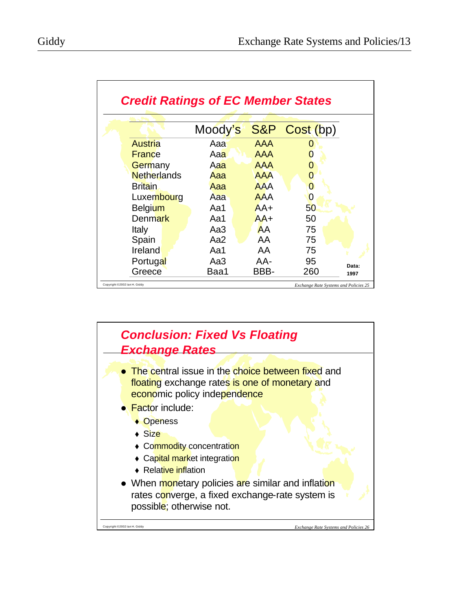|                    | Moody's |            | S&P Cost (bp) |
|--------------------|---------|------------|---------------|
| Austria            | Aaa     | AAA        |               |
| <b>France</b>      | Aaa     | AAA        |               |
| Germany            | Aaa     | <b>AAA</b> |               |
| <b>Netherlands</b> | Aaa     | <b>AAA</b> | $\Omega$      |
| Britain            | Aaa     | <b>AAA</b> |               |
| Luxembourg         | Aaa     | <b>AAA</b> |               |
| <b>Belgium</b>     | Aa1     | $AA+$      | 50            |
| <b>Denmark</b>     | Aa1     | $AA+$      | 50            |
| Italy              | Aa3     | AA         | 75            |
| Spain              | Aa2     | AA         | 75            |
| Ireland            | Aa1     | AA         | 75            |
| Portugal           | Aa3     | AA-        | 95            |
| Greece             | Baa1    | BBB-       | 260           |

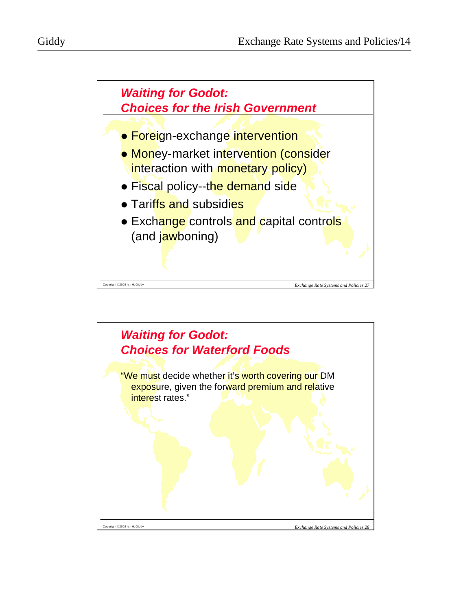

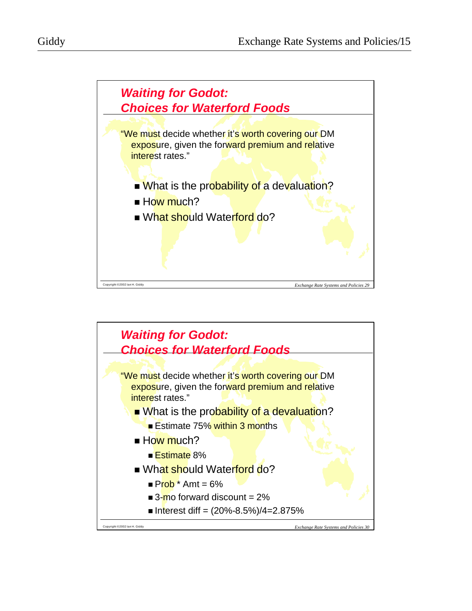

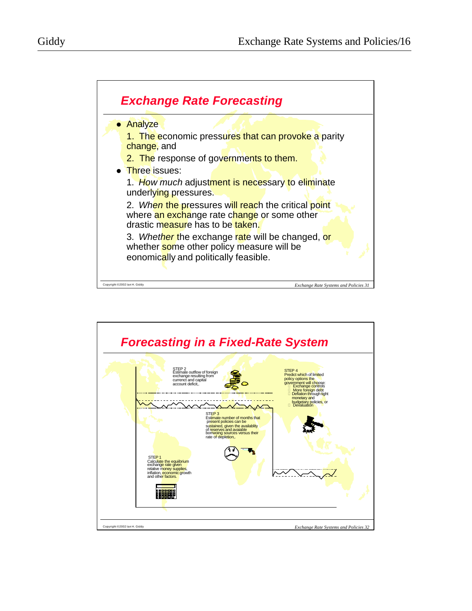

3. *Whether* the exchange rate will be changed, or whether some other policy measure will be eonomically and politically feasible.

Copyright ©2002 Ian H. Giddy *Exchange Rate Systems and Policies 31*

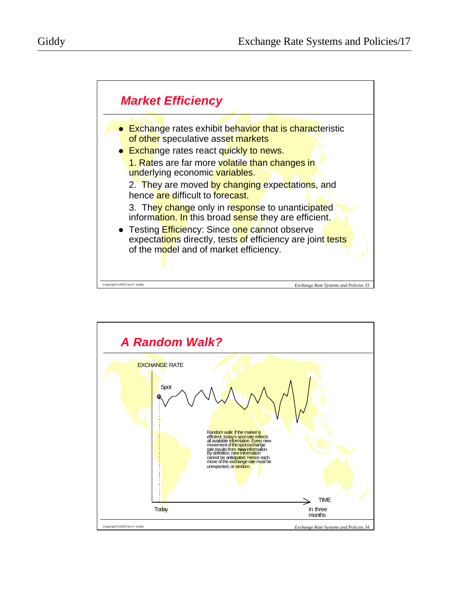

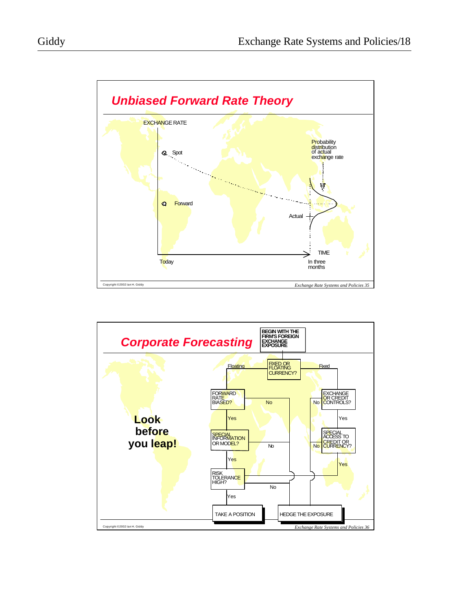

Copyright ©2002 Ian H. Giddy *Exchange Rate Systems and Policies 35*